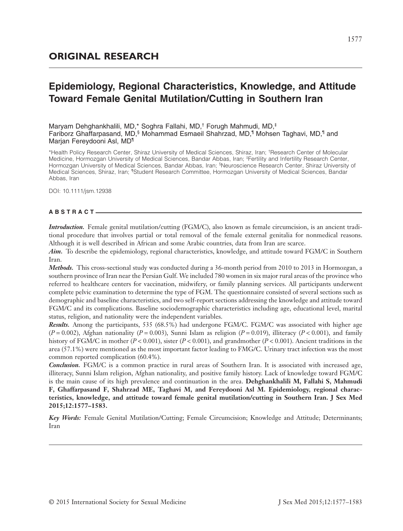# **Epidemiology, Regional Characteristics, Knowledge, and Attitude Toward Female Genital Mutilation/Cutting in Southern Iran**

Maryam Dehghankhalili, MD,\* Soghra Fallahi, MD,† Forugh Mahmudi, MD,‡ Fariborz Ghaffarpasand, MD,§ Mohammad Esmaeil Shahrzad, MD,¶ Mohsen Taghavi, MD,¶ and Marjan Fereydooni Asl, MD¶

\*Health Policy Research Center, Shiraz University of Medical Sciences, Shiraz, Iran; † Research Center of Molecular Medicine, Hormozgan University of Medical Sciences, Bandar Abbas, Iran; ‡Fertility and Infertility Research Center, Hormozgan University of Medical Sciences, Bandar Abbas, Iran; <sup>§</sup>Neuroscience Research Center, Shiraz University of Medical Sciences, Shiraz, Iran; ¶Student Research Committee, Hormozgan University of Medical Sciences, Bandar Abbas, Iran

DOI: 10.1111/jsm.12938

## **ABSTRACT**

*Introduction.* Female genital mutilation/cutting (FGM/C), also known as female circumcision, is an ancient traditional procedure that involves partial or total removal of the female external genitalia for nonmedical reasons. Although it is well described in African and some Arabic countries, data from Iran are scarce.

*Aim.* To describe the epidemiology, regional characteristics, knowledge, and attitude toward FGM/C in Southern Iran.

*Methods.* This cross-sectional study was conducted during a 36-month period from 2010 to 2013 in Hormozgan, a southern province of Iran near the Persian Gulf. We included 780 women in six major rural areas of the province who referred to healthcare centers for vaccination, midwifery, or family planning services. All participants underwent complete pelvic examination to determine the type of FGM. The questionnaire consisted of several sections such as demographic and baseline characteristics, and two self-report sections addressing the knowledge and attitude toward FGM/C and its complications. Baseline sociodemographic characteristics including age, educational level, marital status, religion, and nationality were the independent variables.

*Results.* Among the participants, 535 (68.5%) had undergone FGM/C. FGM/C was associated with higher age  $(P = 0.002)$ , Afghan nationality  $(P = 0.003)$ , Sunni Islam as religion  $(P = 0.019)$ , illiteracy  $(P < 0.001)$ , and family history of FGM/C in mother  $(P < 0.001)$ , sister  $(P < 0.001)$ , and grandmother  $(P < 0.001)$ . Ancient traditions in the area (57.1%) were mentioned as the most important factor leading to FMG/C. Urinary tract infection was the most common reported complication (60.4%).

*Conclusion.* FGM/C is a common practice in rural areas of Southern Iran. It is associated with increased age, illiteracy, Sunni Islam religion, Afghan nationality, and positive family history. Lack of knowledge toward FGM/C is the main cause of its high prevalence and continuation in the area. **Dehghankhalili M, Fallahi S, Mahmudi F, Ghaffarpasand F, Shahrzad ME, Taghavi M, and Fereydooni Asl M. Epidemiology, regional characteristics, knowledge, and attitude toward female genital mutilation/cutting in Southern Iran. J Sex Med 2015;12:1577–1583.**

*Key Words:* Female Genital Mutilation/Cutting; Female Circumcision; Knowledge and Attitude; Determinants; Iran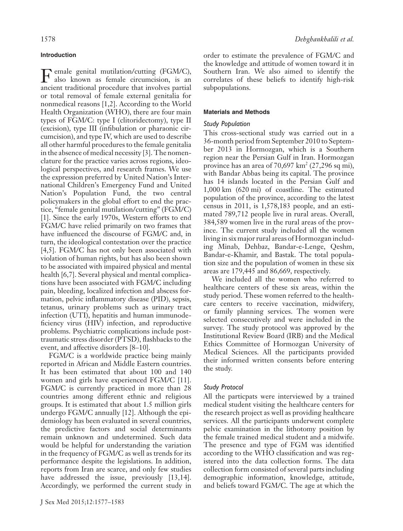## **Introduction**

Female genital mutilation/cutting (FGM/C), also known as female circumcision, is an ancient traditional procedure that involves partial or total removal of female external genitalia for nonmedical reasons [1,2]. According to the World Health Organization (WHO), there are four main types of FGM/C: type I (clitoridectomy), type II (excision), type III (infibulation or pharaonic circumcision), and type IV, which are used to describe all other harmful procedures to the female genitalia in the absence of medical necessity [3]. The nomenclature for the practice varies across regions, ideological perspectives, and research frames. We use the expression preferred by United Nation's International Children's Emergency Fund and United Nation's Population Fund, the two central policymakers in the global effort to end the practice, "female genital mutilation/cutting" (FGM/C) [1]. Since the early 1970s, Western efforts to end FGM/C have relied primarily on two frames that have influenced the discourse of FGM/C and, in turn, the ideological contestation over the practice [4,5]. FGM/C has not only been associated with violation of human rights, but has also been shown to be associated with impaired physical and mental health [6,7]. Several physical and mental complications have been associated with FGM/C including pain, bleeding, localized infection and abscess formation, pelvic inflammatory disease (PID), sepsis, tetanus, urinary problems such as urinary tract infection (UTI), hepatitis and human immunodeficiency virus (HIV) infection, and reproductive problems. Psychiatric complications include posttraumatic stress disorder (PTSD), flashbacks to the event, and affective disorders [8–10].

FGM/C is a worldwide practice being mainly reported in African and Middle Eastern countries. It has been estimated that about 100 and 140 women and girls have experienced FGM/C [11]. FGM/C is currently practiced in more than 28 countries among different ethnic and religious groups. It is estimated that about 1.5 million girls undergo FGM/C annually [12]. Although the epidemiology has been evaluated in several countries, the predictive factors and social determinants remain unknown and undetermined. Such data would be helpful for understanding the variation in the frequency of FGM/C as well as trends for its performance despite the legislations. In addition, reports from Iran are scarce, and only few studies have addressed the issue, previously [13,14]. Accordingly, we performed the current study in

order to estimate the prevalence of FGM/C and the knowledge and attitude of women toward it in Southern Iran. We also aimed to identify the correlates of these beliefs to identify high-risk subpopulations.

## **Materials and Methods**

## *Study Population*

This cross-sectional study was carried out in a 36-month period from September 2010 to September 2013 in Hormozgan, which is a Southern region near the Persian Gulf in Iran. Hormozgan province has an area of  $70,697 \text{ km}^2 (27,296 \text{ sq mi})$ , with Bandar Abbas being its capital. The province has 14 islands located in the Persian Gulf and 1,000 km (620 mi) of coastline. The estimated population of the province, according to the latest census in 2011, is 1,578,183 people, and an estimated 789,712 people live in rural areas. Overall, 384,589 women live in the rural areas of the province. The current study included all the women living in six major rural areas of Hormozgan including Minab, Dehbaz, Bandar-e-Lenge, Qeshm, Bandar-e-Khamir, and Bastak. The total population size and the population of women in these six areas are 179,445 and 86,669, respectively.

We included all the women who referred to healthcare centers of these six areas, within the study period. These women referred to the healthcare centers to receive vaccination, midwifery, or family planning services. The women were selected consecutively and were included in the survey. The study protocol was approved by the Institutional Review Board (IRB) and the Medical Ethics Committee of Hormozgan University of Medical Sciences. All the participants provided their informed written consents before entering the study.

# *Study Protocol*

All the particpats were interviewed by a trained medical student visiting the healthcare centers for the research project as well as providing healthcare services. All the participants underwent complete pelvic examination in the lithotomy position by the female trained medical student and a midwife. The presence and type of FGM was identified according to the WHO classification and was registered into the data collection forms. The data collection form consisted of several parts including demographic information, knowledge, attitude, and beliefs toward FGM/C. The age at which the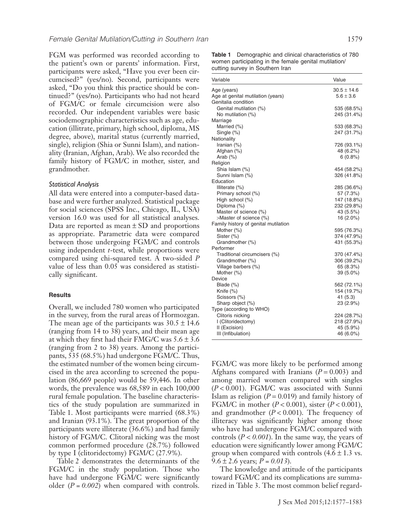FGM was performed was recorded according to the patient's own or parents' information. First, participants were asked, "Have you ever been circumcised?" (yes/no). Second, participants were asked, "Do you think this practice should be continued?" (yes/no). Participants who had not heard of FGM/C or female circumcision were also recorded. Our independent variables were basic sociodemographic characteristics such as age, education (illitrate, primary, high school, diploma, MS degree, above), marital status (currently married, single), religion (Shia or Sunni Islam), and nationality (Iranian, Afghan, Arab). We also recorded the family history of FGM/C in mother, sister, and grandmother.

#### *Statistical Analysis*

All data were entered into a computer-based database and were further analyzed. Statistical package for social sciences (SPSS Inc., Chicago, IL, USA) version 16.0 was used for all statistical analyses. Data are reported as mean  $\pm$  SD and proportions as appropriate. Parametric data were compared between those undergoing FGM/C and controls using independent *t*-test, while proportions were compared using chi-squared test. A two-sided *P* value of less than 0.05 was considered as statistically significant.

#### **Results**

Overall, we included 780 women who participated in the survey, from the rural areas of Hormozgan. The mean age of the participants was  $30.5 \pm 14.6$ (ranging from 14 to 38) years, and their mean age at which they first had their FMG/C was  $5.6 \pm 3.6$ (ranging from 2 to 38) years. Among the participants, 535 (68.5%) had undergone FGM/C. Thus, the estimated number of the women being circumcised in the area according to screened the population (86,669 people) would be 59,446. In other words, the prevalence was 68,589 in each 100,000 rural female population. The baseline characteristics of the study population are summarized in Table 1. Most participants were married (68.3%) and Iranian (93.1%). The great proportion of the participants were illiterate (36.6%) and had family history of FGM/C. Clitoral nicking was the most common performed procedure (28.7%) followed by type I (clitoridectomy) FGM/C (27.9%).

Table 2 demonstrates the determinants of the FGM/C in the study population. Those who have had undergone FGM/C were significantly older (*P = 0.002*) when compared with controls.

**Table 1** Demographic and clinical characteristics of 780 women participating in the female genital mutilation/ cutting survey in Southern Iran

| Variable                             | Value           |
|--------------------------------------|-----------------|
| Age (years)                          | $30.5 \pm 14.6$ |
| Age at genital mutilation (years)    | $5.6 \pm 3.6$   |
| Genitalia condition                  |                 |
| Genital mutilation (%)               | 535 (68.5%)     |
| No mutilation (%)                    | 245 (31.4%)     |
| Marriage                             |                 |
| Married (%)                          | 533 (68.3%)     |
| Single (%)                           | 247 (31.7%)     |
| Nationality                          |                 |
| Iranian (%)                          | 726 (93.1%)     |
| Afghan (%)                           | 48 (6.2%)       |
| Arab $(\%)$                          | $6(0.8\%)$      |
| Religion                             |                 |
| Shia Islam (%)                       | 454 (58.2%)     |
| Sunni Islam (%)                      | 326 (41.8%)     |
| Education                            |                 |
| Illiterate (%)                       | 285 (36.6%)     |
| Primary school (%)                   | 57 (7.3%)       |
| High school (%)                      | 147 (18.8%)     |
| Diploma (%)                          | 232 (29.8%)     |
| Master of science (%)                | 43 (5.5%)       |
| >Master of science (%)               | 16 (2.0%)       |
| Family history of genital mutilation |                 |
| Mother (%)                           | 595 (76.3%)     |
| Sister (%)                           | 374 (47.9%)     |
| Grandmother (%)                      | 431 (55.3%)     |
| Performer                            |                 |
| Traditional circumcisers (%)         | 370 (47.4%)     |
| Grandmother (%)                      | 306 (39.2%)     |
| Village barbers (%)                  | 65 (8.3%)       |
| Mother (%)                           | 39 (5.0%)       |
| Device                               |                 |
| Blade (%)                            | 562 (72.1%)     |
| Knife $(\%)$                         | 154 (19.7%)     |
| Scissors (%)                         | 41 (5.3)        |
| Sharp object (%)                     | 23 (2.9%)       |
| Type (according to WHO)              |                 |
| Clitoris nicking                     | 224 (28.7%)     |
| I (Clitoridectomy)                   | 218 (27.9%)     |
| II (Excision)                        | 45 (5.9%)       |
| III (Infibulation)                   | 46 (6.0%)       |

FGM/C was more likely to be performed among Afghans compared with Iranians  $(P = 0.003)$  and among married women compared with singles (*P* < 0.001). FGM/C was associated with Sunni Islam as religion  $(P = 0.019)$  and family history of FGM/C in mother (*P* < 0.001), sister (*P* < 0.001), and grandmother (*P* < 0.001). The frequency of illiteracy was significantly higher among those who have had undergone FGM/C compared with controls (*P* < *0.001*). In the same way, the years of education were significantly lower among FGM/C group when compared with controls  $(4.6 \pm 1.3 \text{ vs.})$ 9.6 ± 2.6 years; *P = 0.013*).

The knowledge and attitude of the participants toward FGM/C and its complications are summarized in Table 3. The most common belief regard-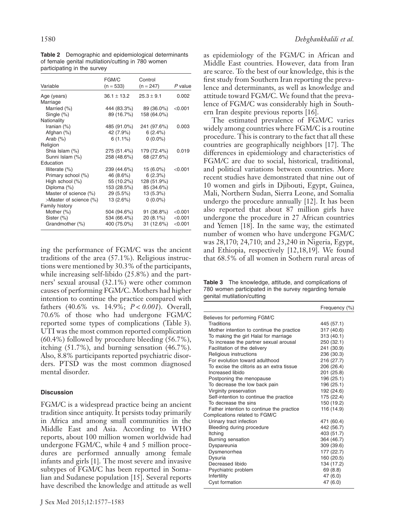| FGM/C<br>$(n = 533)$ | Control<br>$(n = 247)$ | P value   |
|----------------------|------------------------|-----------|
| $36.1 \pm 13.2$      | $25.3 \pm 9.1$         | 0.002     |
|                      |                        |           |
| 444 (83.3%)          | 89 (36.0%)             | < 0.001   |
| 89 (16.7%)           | 158 (64.0%)            |           |
|                      |                        |           |
| 485 (91.0%)          | 241 (97.6%)            | 0.003     |
| 42 (7.9%)            | 6(2.4%)                |           |
| $6(1.1\%)$           | $0(0.0\%)$             |           |
|                      |                        |           |
| 275 (51.4%)          | 179 (72.4%)            | 0.019     |
| 258 (48.6%)          | 68 (27.6%)             |           |
|                      |                        |           |
| 239 (44.6%)          | $15(6.0\%)$            | $<$ 0.001 |
| 46 (8.6%)            | 6(2.3%)                |           |
| 55 (10.2%)           | 128 (51.9%)            |           |
| 153 (28.5%)          | 85 (34.6%)             |           |
| 29 (5.5%)            | 13 (5.3%)              |           |
| 13 (2.6%)            | $0(0.0\%)$             |           |
|                      |                        |           |
| 504 (94.6%)          | 91 (36.8%)             | < 0.001   |
| 534 (66.4%)          | 20 (8.1%)              | < 0.001   |
| 400 (75.0%)          | 31 (12.6%)             | $<$ 0.001 |
|                      |                        |           |

**Table 2** Demographic and epidemiological determinants of female genital mutilation/cutting in 780 women participating in the survey

ing the performance of FGM/C was the ancient traditions of the area (57.1%). Religious instructions were mentioned by 30.3% of the participants, while increasing self-libido (25.8%) and the partners' sexual arousal (32.1%) were other common causes of performing FGM/C. Mothers had higher intention to continue the practice compared with fathers (40.6% vs. 14.9%; *P* < *0.001*). Overall, 70.6% of those who had undergone FGM/C reported some types of complications (Table 3). UTI was the most common reported complication (60.4%) followed by procedure bleeding (56.7%), itching (51.7%), and burning sensation (46.7%). Also, 8.8% participants reported psychiatric disorders. PTSD was the most common diagnosed mental disorder.

# **Discussion**

FGM/C is a widespread practice being an ancient tradition since antiquity. It persists today primarily in Africa and among small communities in the Middle East and Asia. According to WHO reports, about 100 million women worldwide had undergone FGM/C, while 4 and 5 million procedures are performed annually among female infants and girls [1]. The most severe and invasive subtypes of FGM/C has been reported in Somalian and Sudanese population [15]. Several reports have described the knowledge and attitude as well

as epidemiology of the FGM/C in African and Middle East countries. However, data from Iran are scarce. To the best of our knowledge, this is the first study from Southern Iran reporting the prevalence and determinants, as well as knowledge and attitude toward FGM/C. We found that the prevalence of FGM/C was considerably high in Southern Iran despite previous reports [16].

The estimated prevalence of FGM/C varies widely among countries where FGM/C is a routine procedure. This is contrary to the fact that all these countries are geographically neighbors [17]. The differences in epidemiology and characteristics of FGM/C are due to social, historical, traditional, and political variations between countries. More recent studies have demonstrated that nine out of 10 women and girls in Djibouti, Egypt, Guinea, Mali, Northern Sudan, Sierra Leone, and Somalia undergo the procedure annually [12]. It has been also reported that about 87 million girls have undergone the procedure in 27 African countries and Yemen [18]. In the same way, the estimated number of women who have undergone FGM/C was 28,170; 24,710; and 23,240 in Nigeria, Egypt, and Ethiopia, respectively [12,18,19]. We found that 68.5% of all women in Sothern rural areas of

**Table 3** The knowledge, attitude, and complications of 780 women participated in the survey regarding female genital mutilation/cutting

|                                           | Frequency (%) |
|-------------------------------------------|---------------|
| Believes for performing FGM/C             |               |
| Traditions                                | 445 (57.1)    |
| Mother intention to continue the practice | 317 (40.6)    |
| To making the girl Halal for marriage     | 313 (40.1)    |
| To increase the partner sexual arousal    | 250 (32.1)    |
| Facilitation of the delivery              | 241 (30.9)    |
| Religious instructions                    | 236 (30.3)    |
| For evolution toward adulthood            | 216 (27.7)    |
| To excise the clitoris as an extra tissue | 206 (26.4)    |
| Increased libido                          | 201 (25.8)    |
| Postponing the menopause                  | 196 (25.1)    |
| To decrease the low back pain             | 196 (25.1)    |
| Virginity preservation                    | 192 (24.6)    |
| Self-intention to continue the practice   | 175 (22.4)    |
| To decrease the sins                      | 150 (19.2)    |
| Father intention to continue the practice | 116 (14.9)    |
| Complications related to FGM/C            |               |
| Urinary tract infection                   | 471 (60.4)    |
| Bleeding during procedure                 | 442 (56.7)    |
| Itching                                   | 403 (51.7)    |
| Burning sensation                         | 364 (46.7)    |
| Dyspareunia                               | 309 (39.6)    |
| Dysmenorrhea                              | 177 (22.7)    |
| Dysuria                                   | 160 (20.5)    |
| Decreased libido                          | 134 (17.2)    |
| Psychiatric problem                       | 69 (8.8)      |
| Infertility                               | 47(6.0)       |
| <b>Cyst formation</b>                     | 47 (6.0)      |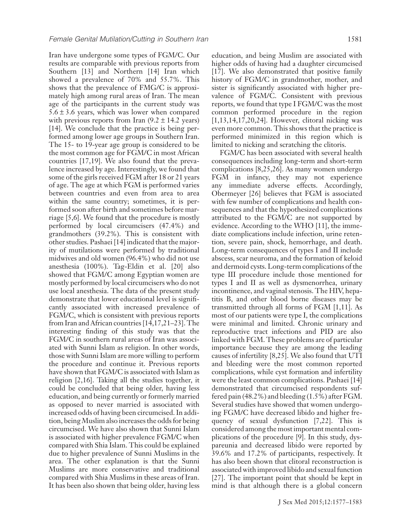Iran have undergone some types of FGM/C. Our results are comparable with previous reports from Southern [13] and Northern [14] Iran which showed a prevalence of 70% and 55.7%. This shows that the prevalence of FMG/C is approximately high among rural areas of Iran. The mean age of the participants in the current study was  $5.6 \pm 3.6$  years, which was lower when compared with previous reports from Iran  $(9.2 \pm 14.2 \text{ years})$ [14]. We conclude that the practice is being performed among lower age groups in Southern Iran. The 15- to 19-year age group is considered to be the most common age for FGM/C in most African countries [17,19]. We also found that the prevalence increased by age. Interestingly, we found that some of the girls received FGM after 18 or 21 years of age. The age at which FGM is performed varies between countries and even from area to area within the same country; sometimes, it is performed soon after birth and sometimes before marriage [5,6]. We found that the procedure is mostly performed by local circumcisers (47.4%) and grandmothers (39.2%). This is consistent with other studies. Pashaei [14] indicated that the majority of mutilations were performed by traditional midwives and old women (96.4%) who did not use anesthesia (100%). Tag-Eldin et al. [20] also showed that FGM/C among Egyptian women are mostly performed by local circumcisers who do not use local anesthesia. The data of the present study demonstrate that lower educational level is significantly associated with increased prevalence of FGM/C, which is consistent with previous reports from Iran and African countries [14,17,21–23]. The interesting finding of this study was that the FGM/C in southern rural areas of Iran was associated with Sunni Islam as religion. In other words, those with Sunni Islam are more willing to perform the procedure and continue it. Previous reports have shown that FGM/C is associated with Islam as religion [2,16]. Taking all the studies together, it could be concluded that being older, having less education, and being currently or formerly married as opposed to never married is associated with increased odds of having been circumcised. In addition, beingMuslim also increases the odds for being circumcised. We have also shown that Sunni Islam is associated with higher prevalence FGM/C when compared with Shia Islam. This could be explained due to higher prevalence of Sunni Muslims in the area. The other explanation is that the Sunni Muslims are more conservative and traditional compared with Shia Muslims in these areas of Iran. It has been also shown that being older, having less

education, and being Muslim are associated with higher odds of having had a daughter circumcised [17]. We also demonstrated that positive family history of FGM/C in grandmother, mother, and sister is significantly associated with higher prevalence of FGM/C. Consistent with previous reports, we found that type I FGM/C was the most common performed procedure in the region [1,13,14,17,20,24]. However, clitoral nicking was even more common. This shows that the practice is performed minimized in this region which is limited to nicking and scratching the clitoris.

FGM/C has been associated with several health consequences including long-term and short-term complications [8,25,26]. As many women undergo FGM in infancy, they may not experience any immediate adverse effects. Accordingly, Obermeyer [26] believes that FGM is associated with few number of complications and health consequences and that the hypothesized complications attributed to the FGM/C are not supported by evidence. According to the WHO [11], the immediate complications include infection, urine retention, severe pain, shock, hemorrhage, and death. Long-term consequences of types I and II include abscess, scar neuroma, and the formation of keloid and dermoid cysts. Long-term complications of the type III procedure include those mentioned for types I and II as well as dysmenorrhea, urinary incontinence, and vaginal stenosis. The HIV, hepatitis B, and other blood borne diseases may be transmitted through all forms of FGM [1,11]. As most of our patients were type I, the complications were minimal and limited. Chronic urinary and reproductive tract infections and PID are also linked with FGM. These problems are of particular importance because they are among the leading causes of infertility [8,25]. We also found that UTI and bleeding were the most common reported complications, while cyst formation and infertility were the least common complications. Pashaei [14] demonstrated that circumcised respondents suffered pain (48.2%) and bleeding (1.5%) after FGM. Several studies have showed that women undergoing FGM/C have decreased libido and higher frequency of sexual dysfunction [7,22]. This is considered among the most important mental complications of the procedure [9]. In this study, dyspareunia and decreased libido were reported by 39.6% and 17.2% of participants, respectively. It has also been shown that clitoral reconstruction is associated with improved libido and sexual function [27]. The important point that should be kept in mind is that although there is a global concern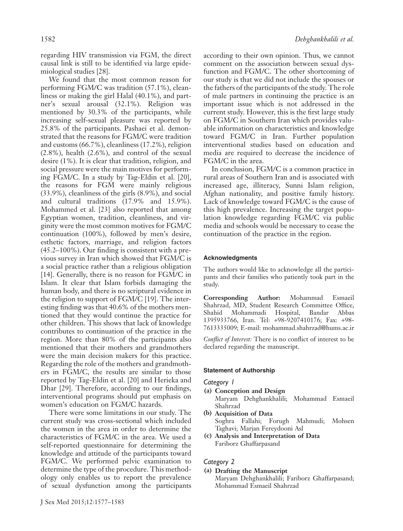regarding HIV transmission via FGM, the direct causal link is still to be identified via large epidemiological studies [28].

We found that the most common reason for performing FGM/C was tradition (57.1%), cleanliness or making the girl Halal (40.1%), and partner's sexual arousal (32.1%). Religion was mentioned by 30.3% of the participants, while increasing self-sexual pleasure was reported by 25.8% of the participants. Pashaei et al. demonstrated that the reasons for FGM/C were tradition and customs (66.7%), cleanliness (17.2%), religion (2.8%), health (2.6%), and control of the sexual desire (1%). It is clear that tradition, religion, and social pressure were the main motives for performing FGM/C. In a study by Tag-Eldin et al. [20], the reasons for FGM were mainly religious (33.9%), cleanliness of the girls (8.9%), and social and cultural traditions (17.9% and 15.9%). Mohammed et al. [23] also reported that among Egyptian women, tradition, cleanliness, and virginity were the most common motives for FGM/C continuation (100%), followed by men's desire, esthetic factors, marriage, and religion factors (45.2–100%). Our finding is consistent with a previous survey in Iran which showed that FGM/C is a social practice rather than a religious obligation [14]. Generally, there is no reason for FGM/C in Islam. It clear that Islam forbids damaging the human body, and there is no scriptural evidence in the religion to support of FGM/C [19]. The interesting finding was that 40.6% of the mothers mentioned that they would continue the practice for other children. This shows that lack of knowledge contributes to continuation of the practice in the region. More than 80% of the participants also mentioned that their mothers and grandmothers were the main decision makers for this practice. Regarding the role of the mothers and grandmothers in FGM/C, the results are similar to those reported by Tag-Eldin et al. [20] and Herieka and Dhar [29]. Therefore, according to our findings, interventional programs should put emphasis on women's education on FGM/C hazards.

There were some limitations in our study. The current study was cross-sectional which included the women in the area in order to determine the characteristics of FGM/C in the area. We used a self-reported questionnaire for determining the knowledge and attitude of the participants toward FGM/C. We performed pelvic examination to determine the type of the procedure. This methodology only enables us to report the prevalence of sexual dysfunction among the participants

according to their own opinion. Thus, we cannot comment on the association between sexual dysfunction and FGM/C. The other shortcoming of our study is that we did not include the spouses or the fathers of the participants of the study. The role of male partners in continuing the practice is an important issue which is not addressed in the current study. However, this is the first large study on FGM/C in Southern Iran which provides valuable information on characteristics and knowledge toward FGM/C in Iran. Further population interventional studies based on education and media are required to decrease the incidence of FGM/C in the area.

In conclusion, FGM/C is a common practice in rural areas of Southern Iran and is associated with increased age, illiteracy, Sunni Islam religion, Afghan nationality, and positive family history. Lack of knowledge toward FGM/C is the cause of this high prevalence. Increasing the target population knowledge regarding FGM/C via public media and schools would be necessary to cease the continuation of the practice in the region.

#### **Acknowledgments**

The authors would like to acknowledge all the participants and their families who patiently took part in the study.

**Corresponding Author:** Mohammad Esmaeil Shahrzad, MD, Student Research Committee Office, Shahid Mohammadi Hospital, Bandar Abbas 1395933766, Iran. Tel: +98-9207410176; Fax: +98- 7613335009; E-mail: [mohammad.shahrzad@hums.ac.ir](mailto:mohammad.shahrzad@hums.ac.ir)

*Conflict of Interest:* There is no conflict of interest to be declared regarding the manuscript.

## **Statement of Authorship**

## *Category 1*

- **(a) Conception and Design** Maryam Dehghankhalili; Mohammad Esmaeil Shahrzad
- **(b) Acquisition of Data** Soghra Fallahi; Forugh Mahmudi; Mohsen Taghavi; Marjan Fereydooni Asl
- **(c) Analysis and Interpretation of Data** Fariborz Ghaffarpasand

## *Category 2*

**(a) Drafting the Manuscript**

Maryam Dehghankhalili; Fariborz Ghaffarpasand; Mohammad Esmaeil Shahrzad